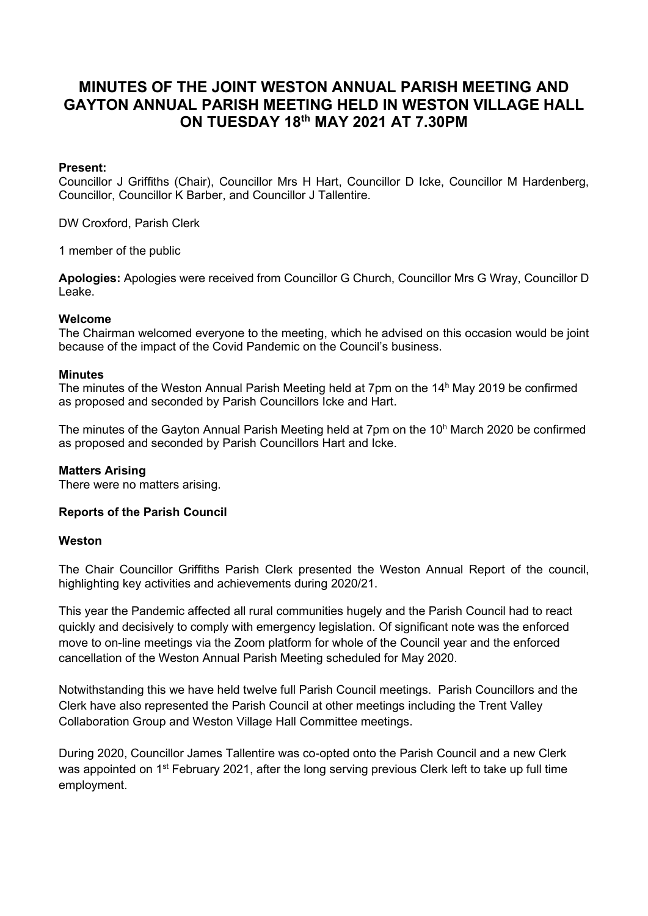# **MINUTES OF THE JOINT WESTON ANNUAL PARISH MEETING AND GAYTON ANNUAL PARISH MEETING HELD IN WESTON VILLAGE HALL ON TUESDAY 18 th MAY 2021 AT 7.30PM**

### **Present:**

Councillor J Griffiths (Chair), Councillor Mrs H Hart, Councillor D Icke, Councillor M Hardenberg, Councillor, Councillor K Barber, and Councillor J Tallentire.

DW Croxford, Parish Clerk

1 member of the public

**Apologies:** Apologies were received from Councillor G Church, Councillor Mrs G Wray, Councillor D Leake.

### **Welcome**

The Chairman welcomed everyone to the meeting, which he advised on this occasion would be joint because of the impact of the Covid Pandemic on the Council's business.

#### **Minutes**

The minutes of the Weston Annual Parish Meeting held at 7pm on the  $14<sup>h</sup>$  May 2019 be confirmed as proposed and seconded by Parish Councillors Icke and Hart.

The minutes of the Gayton Annual Parish Meeting held at 7pm on the  $10<sup>h</sup>$  March 2020 be confirmed as proposed and seconded by Parish Councillors Hart and Icke.

# **Matters Arising**

There were no matters arising.

# **Reports of the Parish Council**

#### **Weston**

The Chair Councillor Griffiths Parish Clerk presented the Weston Annual Report of the council, highlighting key activities and achievements during 2020/21.

This year the Pandemic affected all rural communities hugely and the Parish Council had to react quickly and decisively to comply with emergency legislation. Of significant note was the enforced move to on-line meetings via the Zoom platform for whole of the Council year and the enforced cancellation of the Weston Annual Parish Meeting scheduled for May 2020.

Notwithstanding this we have held twelve full Parish Council meetings. Parish Councillors and the Clerk have also represented the Parish Council at other meetings including the Trent Valley Collaboration Group and Weston Village Hall Committee meetings.

During 2020, Councillor James Tallentire was co-opted onto the Parish Council and a new Clerk was appointed on 1<sup>st</sup> February 2021, after the long serving previous Clerk left to take up full time employment.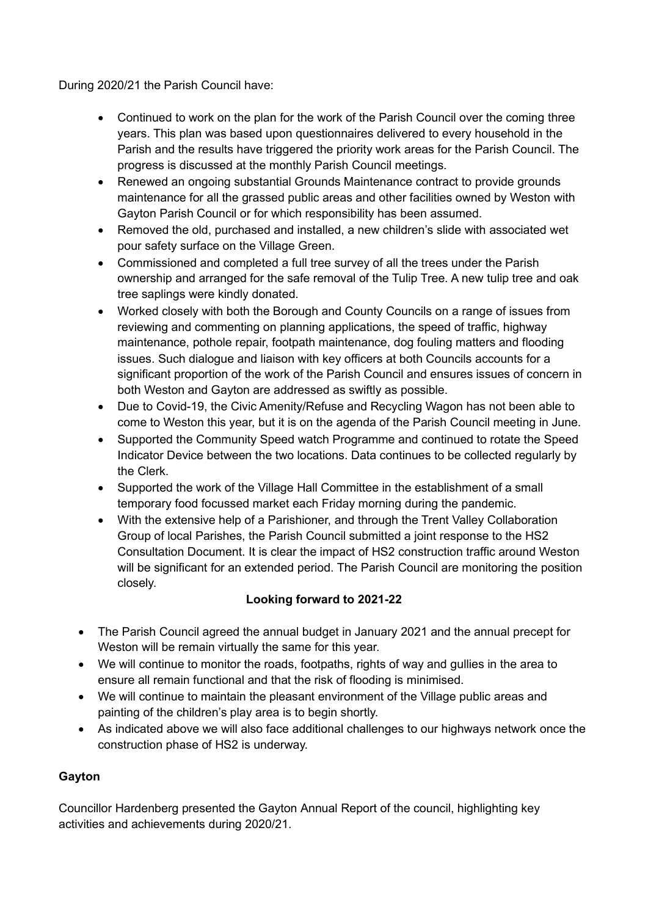During 2020/21 the Parish Council have:

- Continued to work on the plan for the work of the Parish Council over the coming three years. This plan was based upon questionnaires delivered to every household in the Parish and the results have triggered the priority work areas for the Parish Council. The progress is discussed at the monthly Parish Council meetings.
- Renewed an ongoing substantial Grounds Maintenance contract to provide grounds maintenance for all the grassed public areas and other facilities owned by Weston with Gayton Parish Council or for which responsibility has been assumed.
- Removed the old, purchased and installed, a new children's slide with associated wet pour safety surface on the Village Green.
- Commissioned and completed a full tree survey of all the trees under the Parish ownership and arranged for the safe removal of the Tulip Tree. A new tulip tree and oak tree saplings were kindly donated.
- Worked closely with both the Borough and County Councils on a range of issues from reviewing and commenting on planning applications, the speed of traffic, highway maintenance, pothole repair, footpath maintenance, dog fouling matters and flooding issues. Such dialogue and liaison with key officers at both Councils accounts for a significant proportion of the work of the Parish Council and ensures issues of concern in both Weston and Gayton are addressed as swiftly as possible.
- Due to Covid-19, the Civic Amenity/Refuse and Recycling Wagon has not been able to come to Weston this year, but it is on the agenda of the Parish Council meeting in June.
- Supported the Community Speed watch Programme and continued to rotate the Speed Indicator Device between the two locations. Data continues to be collected regularly by the Clerk.
- Supported the work of the Village Hall Committee in the establishment of a small temporary food focussed market each Friday morning during the pandemic.
- With the extensive help of a Parishioner, and through the Trent Valley Collaboration Group of local Parishes, the Parish Council submitted a joint response to the HS2 Consultation Document. It is clear the impact of HS2 construction traffic around Weston will be significant for an extended period. The Parish Council are monitoring the position closely.

# **Looking forward to 2021-22**

- The Parish Council agreed the annual budget in January 2021 and the annual precept for Weston will be remain virtually the same for this year.
- We will continue to monitor the roads, footpaths, rights of way and gullies in the area to ensure all remain functional and that the risk of flooding is minimised.
- We will continue to maintain the pleasant environment of the Village public areas and painting of the children's play area is to begin shortly.
- As indicated above we will also face additional challenges to our highways network once the construction phase of HS2 is underway.

# **Gayton**

Councillor Hardenberg presented the Gayton Annual Report of the council, highlighting key activities and achievements during 2020/21.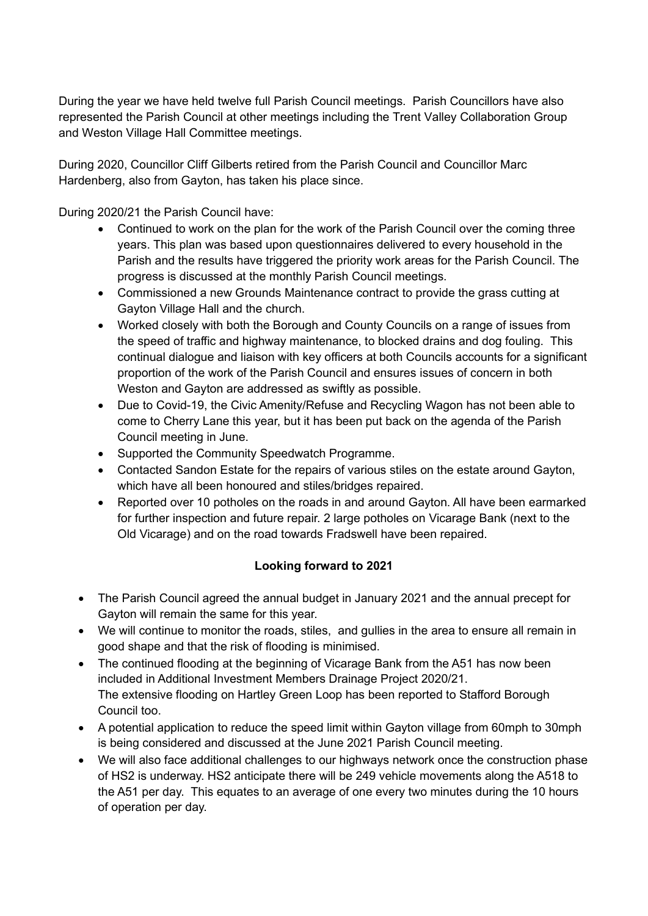During the year we have held twelve full Parish Council meetings. Parish Councillors have also represented the Parish Council at other meetings including the Trent Valley Collaboration Group and Weston Village Hall Committee meetings.

During 2020, Councillor Cliff Gilberts retired from the Parish Council and Councillor Marc Hardenberg, also from Gayton, has taken his place since.

During 2020/21 the Parish Council have:

- Continued to work on the plan for the work of the Parish Council over the coming three years. This plan was based upon questionnaires delivered to every household in the Parish and the results have triggered the priority work areas for the Parish Council. The progress is discussed at the monthly Parish Council meetings.
- Commissioned a new Grounds Maintenance contract to provide the grass cutting at Gayton Village Hall and the church.
- Worked closely with both the Borough and County Councils on a range of issues from the speed of traffic and highway maintenance, to blocked drains and dog fouling. This continual dialogue and liaison with key officers at both Councils accounts for a significant proportion of the work of the Parish Council and ensures issues of concern in both Weston and Gayton are addressed as swiftly as possible.
- Due to Covid-19, the Civic Amenity/Refuse and Recycling Wagon has not been able to come to Cherry Lane this year, but it has been put back on the agenda of the Parish Council meeting in June.
- Supported the Community Speedwatch Programme.
- Contacted Sandon Estate for the repairs of various stiles on the estate around Gayton, which have all been honoured and stiles/bridges repaired.
- Reported over 10 potholes on the roads in and around Gayton. All have been earmarked for further inspection and future repair. 2 large potholes on Vicarage Bank (next to the Old Vicarage) and on the road towards Fradswell have been repaired.

# **Looking forward to 2021**

- The Parish Council agreed the annual budget in January 2021 and the annual precept for Gayton will remain the same for this year.
- We will continue to monitor the roads, stiles, and gullies in the area to ensure all remain in good shape and that the risk of flooding is minimised.
- The continued flooding at the beginning of Vicarage Bank from the A51 has now been included in Additional Investment Members Drainage Project 2020/21. The extensive flooding on Hartley Green Loop has been reported to Stafford Borough Council too.
- A potential application to reduce the speed limit within Gayton village from 60mph to 30mph is being considered and discussed at the June 2021 Parish Council meeting.
- We will also face additional challenges to our highways network once the construction phase of HS2 is underway. HS2 anticipate there will be 249 vehicle movements along the A518 to the A51 per day. This equates to an average of one every two minutes during the 10 hours of operation per day.